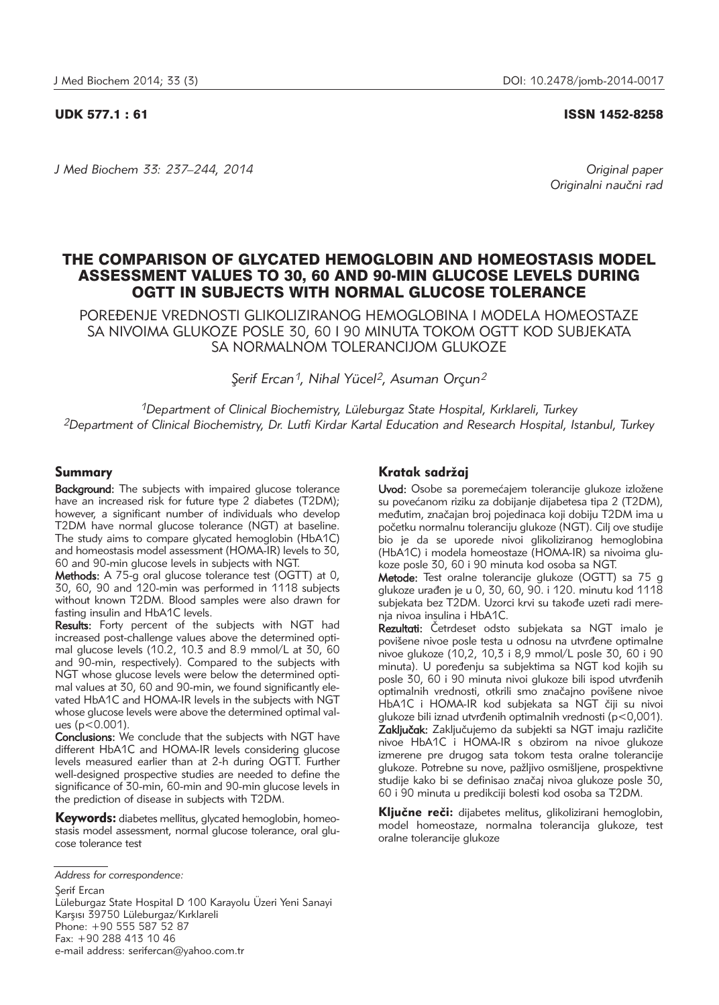UDK 577.1 : 61 ISSN 1452-8258

*J Med Biochem 33: 237–244, 2014 Original paper*

Originalni naučni rad

# THE COMPARISON OF GLYCATED HEMOGLOBIN AND HOMEOSTASIS MODEL ASSESSMENT VALUES TO 30, 60 AND 90-MIN GLUCOSE LEVELS DURING OGTT IN SUBJECTS WITH NORMAL GLUCOSE TOLERANCE

POREĐENJE VREDNOSTI GLIKOLIZIRANOG HEMOGLOBINA I MODELA HOMEOSTAZE SA NIVOIMA GLUKOZE POSLE 30, 60 I 90 MINUTA TOKOM OGTT KOD SUBJEKATA SA NORMALNOM TOLERANCIJOM GLUKOZE

*¸erif Ercan S 1, Nihal Yücel2, Asuman Orçun2*

*1Department of Clinical Biochemistry, Lüleburgaz State Hospital, Kırklareli, Turkey 2Department of Clinical Biochemistry, Dr. Lutfi Kirdar Kartal Education and Research Hospital, Istanbul, Turkey*

# Summary

**Background:** The subjects with impaired glucose tolerance have an increased risk for future type 2 diabetes (T2DM); however, a significant number of individuals who develop T2DM have normal glucose tolerance (NGT) at baseline. The study aims to compare glycated hemoglobin (HbA1C) and homeostasis model assessment (HOMA-IR) levels to 30, 60 and 90-min glucose levels in subjects with NGT.

Methods: A 75-g oral glucose tolerance test (OGTT) at 0, 30, 60, 90 and 120-min was performed in 1118 subjects without known T2DM. Blood samples were also drawn for fasting insulin and HbA1C levels.

Results: Forty percent of the subjects with NGT had increased post-challenge values above the determined optimal glucose levels (10.2, 10.3 and 8.9 mmol/L at 30, 60 and 90-min, respectively). Compared to the subjects with NGT whose glucose levels were below the determined optimal values at 30, 60 and 90-min, we found significantly elevated HbA1C and HOMA-IR levels in the subjects with NGT whose glucose levels were above the determined optimal values (p<0.001).

Conclusions: We conclude that the subjects with NGT have different HbA1C and HOMA-IR levels considering glucose levels measured earlier than at 2-h during OGTT. Further well-designed prospective studies are needed to define the significance of 30-min, 60-min and 90-min glucose levels in the prediction of disease in subjects with T2DM.

Kevwords: diabetes mellitus, glycated hemoglobin, homeostasis model assessment, normal glucose tolerance, oral glucose tolerance test

Serif Ercan

Lüleburgaz State Hospital D 100 Karayolu Üzeri Yeni Sanayi Karsısı 39750 Lüleburgaz/Kırklareli Phone: +90 555 587 52 87 Fax: +90 288 413 10 46 e-mail address: serifercan@yahoo.com.tr

# Kratak sadržaj

Uvod: Osobe sa poremećajem tolerancije glukoze izložene su povećanom riziku za dobijanje dijabetesa tipa 2 (T2DM), međutim, značajan broj pojedinaca koji dobiju T2DM ima u početku normalnu toleranciju glukoze (NGT). Cilj ove studije bio je da se uporede nivoi glikoliziranog hemoglobina (HbA1C) i modela homeostaze (HOMA-IR) sa nivoima glukoze posle 30, 60 i 90 minuta kod osoba sa NGT.

Metode: Test oralne tolerancije glukoze (OGTT) sa 75 g glukoze urađen je u 0, 30, 60, 90. i 120. minutu kod 1118 subiekata bez T2DM. Uzorci krvi su takođe uzeti radi merenja nivoa insulina i HbA1C.

Rezultati: Četrdeset odsto subjekata sa NGT imalo je povišene nivoe posle testa u odnosu na utvrđene optimalne nivoe glukoze (10,2, 10,3 i 8,9 mmol/L posle 30, 60 i 90 minuta). U poređenju sa subjektima sa NGT kod kojih su posle 30, 60 i 90 minuta nivoi glukoze bili ispod utvrđenih optimalnih vrednosti, otkrili smo značajno povišene nivoe HbA1C i HOMA-IR kod subjekata sa NGT čiji su nivoi glukoze bili iznad utvrđenih optimalnih vrednosti (p<0,001). Zaključak: Zaključujemo da subjekti sa NGT imaju različite nivoe HbA1C i HOMA-IR s obzirom na nivoe glukoze izmerene pre drugog sata tokom testa oralne tolerancije glukoze. Potrebne su nove, pažljivo osmišljene, prospektivne studije kako bi se definisao značaj nivoa glukoze posle 30, 60 i 90 minuta u predikciji bolesti kod osoba sa T2DM.

Ključne reči: dijabetes melitus, glikolizirani hemoglobin, model homeostaze, normalna tolerancija glukoze, test oralne tolerancije glukoze

*Address for correspondence:*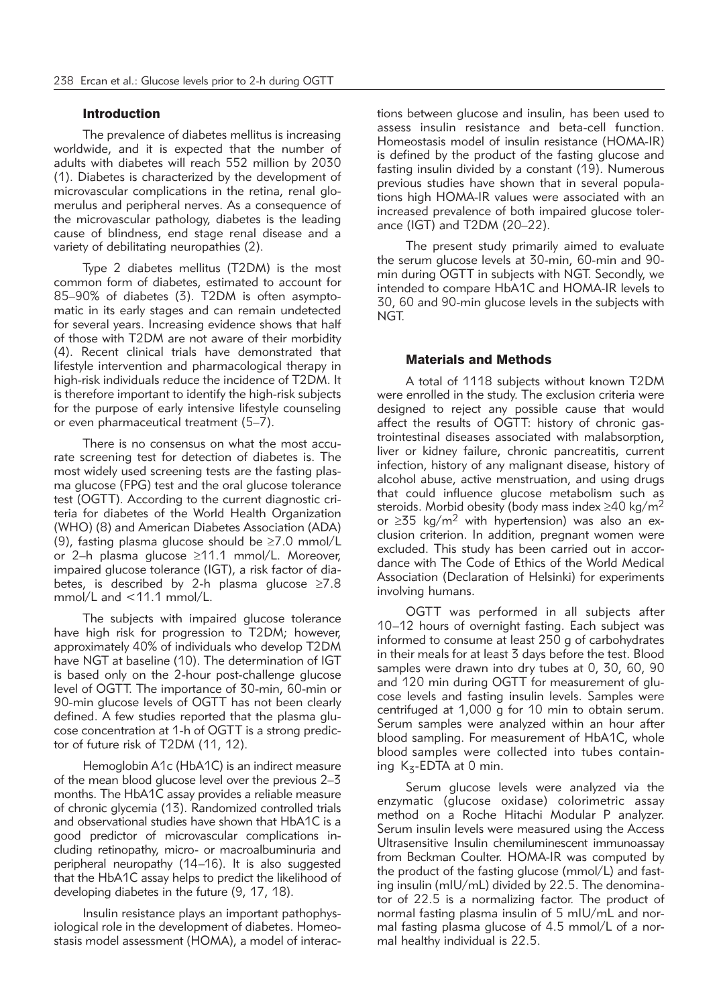#### Introduction

The prevalence of diabetes mellitus is increasing worldwide, and it is expected that the number of adults with diabetes will reach 552 million by 2030 (1). Diabetes is characterized by the development of microvascular complications in the retina, renal glomerulus and peripheral nerves. As a consequence of the microvascular pathology, diabetes is the leading cause of blindness, end stage renal disease and a variety of debilitating neuropathies (2).

Type 2 diabetes mellitus (T2DM) is the most common form of diabetes, estimated to account for 85–90% of diabetes (3). T2DM is often asymptomatic in its early stages and can remain undetected for several years. Increasing evidence shows that half of those with T2DM are not aware of their morbidity (4). Recent clinical trials have demonstrated that lifestyle intervention and pharmacological therapy in high-risk individuals reduce the incidence of T2DM. It is therefore important to identify the high-risk subjects for the purpose of early intensive lifestyle counseling or even pharmaceutical treatment (5–7).

There is no consensus on what the most accurate screening test for detection of diabetes is. The most widely used screening tests are the fasting plasma glucose (FPG) test and the oral glucose tolerance test (OGTT). According to the current diagnostic criteria for diabetes of the World Health Organization (WHO) (8) and American Diabetes Association (ADA) (9), fasting plasma glucose should be ≥7.0 mmol/L or 2–h plasma glucose ≥11.1 mmol/L. Moreover, impaired glucose tolerance (IGT), a risk factor of diabetes, is described by 2-h plasma glucose ≥7.8 mmol/L and <11.1 mmol/L.

The subjects with impaired glucose tolerance have high risk for progression to T2DM; however, approximately 40% of individuals who develop T2DM have NGT at baseline (10). The determination of IGT is based only on the 2-hour post-challenge glucose level of OGTT. The importance of 30-min, 60-min or 90-min glucose levels of OGTT has not been clearly defined. A few studies reported that the plasma glucose concentration at 1-h of OGTT is a strong predictor of future risk of T2DM (11, 12).

Hemoglobin A1c (HbA1C) is an indirect measure of the mean blood glucose level over the previous 2–3 months. The HbA1C assay provides a reliable measure of chronic glycemia (13). Randomized controlled trials and observational studies have shown that HbA1C is a good predictor of microvascular complications including retinopathy, micro- or macroalbuminuria and peripheral neuropathy (14-16). It is also suggested that the HbA1C assay helps to predict the likelihood of developing diabetes in the future (9, 17, 18).

Insulin resistance plays an important pathophysiological role in the development of diabetes. Homeostasis model assessment (HOMA), a model of interactions between glucose and insulin, has been used to assess insulin resistance and beta-cell function. Homeostasis model of insulin resistance (HOMA-IR) is defined by the product of the fasting glucose and fasting insulin divided by a constant (19). Numerous previous studies have shown that in several populations high HOMA-IR values were associated with an increased prevalence of both impaired glucose tolerance (IGT) and T2DM (20–22).

The present study primarily aimed to evaluate the serum glucose levels at 30-min, 60-min and 90 min during OGTT in subjects with NGT. Secondly, we intended to compare HbA1C and HOMA-IR levels to 30, 60 and 90-min glucose levels in the subjects with NGT.

## Materials and Methods

A total of 1118 subjects without known T2DM were enrolled in the study. The exclusion criteria were designed to reject any possible cause that would affect the results of OGTT: history of chronic gastrointestinal diseases associated with malabsorption, liver or kidney failure, chronic pancreatitis, current infection, history of any malignant disease, history of alcohol abuse, active menstruation, and using drugs that could influence glucose metabolism such as steroids. Morbid obesity (body mass index  $\geq$ 40 kg/m<sup>2</sup> or  $\geq$ 35 kg/m<sup>2</sup> with hypertension) was also an exclusion criterion. In addition, pregnant women were excluded. This study has been carried out in accordance with The Code of Ethics of the World Medical Association (Declaration of Helsinki) for experiments involving humans.

OGTT was performed in all subjects after 10–12 hours of overnight fasting. Each subject was informed to consume at least 250 g of carbohydrates in their meals for at least 3 days before the test. Blood samples were drawn into dry tubes at 0, 30, 60, 90 and 120 min during OGTT for measurement of glucose levels and fasting insulin levels. Samples were centrifuged at 1,000 g for 10 min to obtain serum. Serum samples were analyzed within an hour after blood sampling. For measurement of HbA1C, whole blood samples were collected into tubes containing  $K_z$ -EDTA at 0 min.

Serum glucose levels were analyzed via the enzymatic (glucose oxidase) colorimetric assay method on a Roche Hitachi Modular P analyzer. Serum insulin levels were measured using the Access Ultrasensitive Insulin chemiluminescent immunoassay from Beckman Coulter. HOMA-IR was computed by the product of the fasting glucose (mmol/L) and fasting insulin (mIU/mL) divided by 22.5. The denominator of 22.5 is a normalizing factor. The product of normal fasting plasma insulin of 5 mIU/mL and normal fasting plasma glucose of 4.5 mmol/L of a normal healthy individual is 22.5.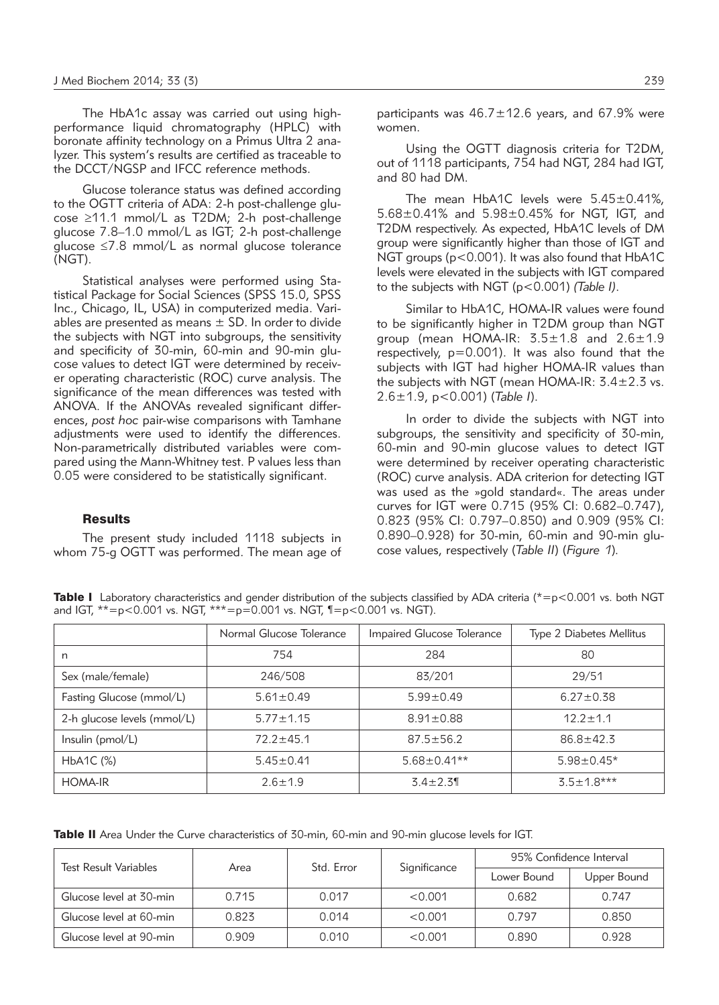The HbA1c assay was carried out using highperformance liquid chromatography (HPLC) with boronate affinity technology on a Primus Ultra 2 analyzer. This system's results are certified as traceable to the DCCT/NGSP and IFCC reference methods.

Glucose tolerance status was defined according to the OGTT criteria of ADA: 2-h post-challenge glucose ≥11.1 mmol/L as T2DM; 2-h post-challenge glucose 7.8–1.0 mmol/L as IGT; 2-h post-challenge glucose ≤7.8 mmol/L as normal glucose tolerance (NGT).

Statistical analyses were performed using Statistical Package for Social Sciences (SPSS 15.0, SPSS Inc., Chicago, IL, USA) in computerized media. Variables are presented as means  $\pm$  SD. In order to divide the subjects with NGT into subgroups, the sensitivity and specificity of 30-min, 60-min and 90-min glucose values to detect IGT were determined by receiver operating characteristic (ROC) curve analysis. The significance of the mean differences was tested with ANOVA. If the ANOVAs revealed significant differences, *post hoc* pair-wise comparisons with Tamhane adjustments were used to identify the differences. Non-parametrically distributed variables were compared using the Mann-Whitney test. P values less than 0.05 were considered to be statistically significant.

#### **Results**

The present study included 1118 subjects in whom 75-g OGTT was performed. The mean age of participants was  $46.7 \pm 12.6$  years, and 67.9% were women.

Using the OGTT diagnosis criteria for T2DM, out of 1118 participants, 754 had NGT, 284 had IGT, and 80 had DM.

The mean HbA1C levels were 5.45±0.41%, 5.68±0.41% and 5.98±0.45% for NGT, IGT, and T2DM respectively. As expected, HbA1C levels of DM group were significantly higher than those of IGT and NGT groups (p<0.001). It was also found that HbA1C levels were elevated in the subjects with IGT compared to the subjects with NGT (p<0.001) *(Table I)*.

Similar to HbA1C, HOMA-IR values were found to be significantly higher in T2DM group than NGT group (mean HOMA-IR:  $3.5 \pm 1.8$  and  $2.6 \pm 1.9$ respectively,  $p=0.001$ ). It was also found that the subjects with IGT had higher HOMA-IR values than the subjects with NGT (mean HOMA-IR: 3.4±2.3 vs. 2.6±1.9, p<0.001) (*Table I*).

In order to divide the subjects with NGT into subgroups, the sensitivity and specificity of 30-min, 60-min and 90-min glucose values to detect IGT were determined by receiver operating characteristic (ROC) curve analysis. ADA criterion for detecting IGT was used as the »gold standard«. The areas under curves for IGT were 0.715 (95% CI: 0.682–0.747), 0.823 (95% CI: 0.797–0.850) and 0.909 (95% CI: 0.890–0.928) for 30-min, 60-min and 90-min glucose values, respectively (*Table II*) (*Figure 1*)*.*

Table I Laboratory characteristics and gender distribution of the subjects classified by ADA criteria ( $* = p < 0.001$  vs. both NGT and IGT, \*\*=p<0.001 vs. NGT, \*\*\*=p=0.001 vs. NGT, ¶=p<0.001 vs. NGT).

|                             | Normal Glucose Tolerance | Impaired Glucose Tolerance | Type 2 Diabetes Mellitus |  |
|-----------------------------|--------------------------|----------------------------|--------------------------|--|
| n                           | 754                      | 284                        | 80                       |  |
| Sex (male/female)           | 246/508                  | 83/201                     | 29/51                    |  |
| Fasting Glucose (mmol/L)    | $5.61 \pm 0.49$          | $5.99 \pm 0.49$            | $6.27 \pm 0.38$          |  |
| 2-h glucose levels (mmol/L) | $5.77 + 1.15$            | $8.91 \pm 0.88$            | $12.2 + 1.1$             |  |
| Insulin (pmol/L)            | $72.2 \pm 45.1$          | $87.5 \pm 56.2$            | $86.8 + 42.3$            |  |
| $HbA1C$ $(\%)$              | $5.45 \pm 0.41$          | $5.68 \pm 0.41**$          | $5.98 \pm 0.45*$         |  |
| <b>HOMA-IR</b>              | $2.6 \pm 1.9$            | $3.4 \pm 2.3$              | $3.5 \pm 1.8***$         |  |

Table II Area Under the Curve characteristics of 30-min, 60-min and 90-min glucose levels for IGT.

| <b>Test Result Variables</b> | Area  | Std. Error | Significance | 95% Confidence Interval |             |
|------------------------------|-------|------------|--------------|-------------------------|-------------|
|                              |       |            |              | Lower Bound             | Upper Bound |
| Glucose level at 30-min      | 0.715 | 0.017      | < 0.001      | 0.682                   | 0.747       |
| Glucose level at 60-min      | 0.823 | 0.014      | < 0.001      | 0.797                   | 0.850       |
| Glucose level at 90-min      | 0.909 | 0.010      | < 0.001      | 0.890                   | 0.928       |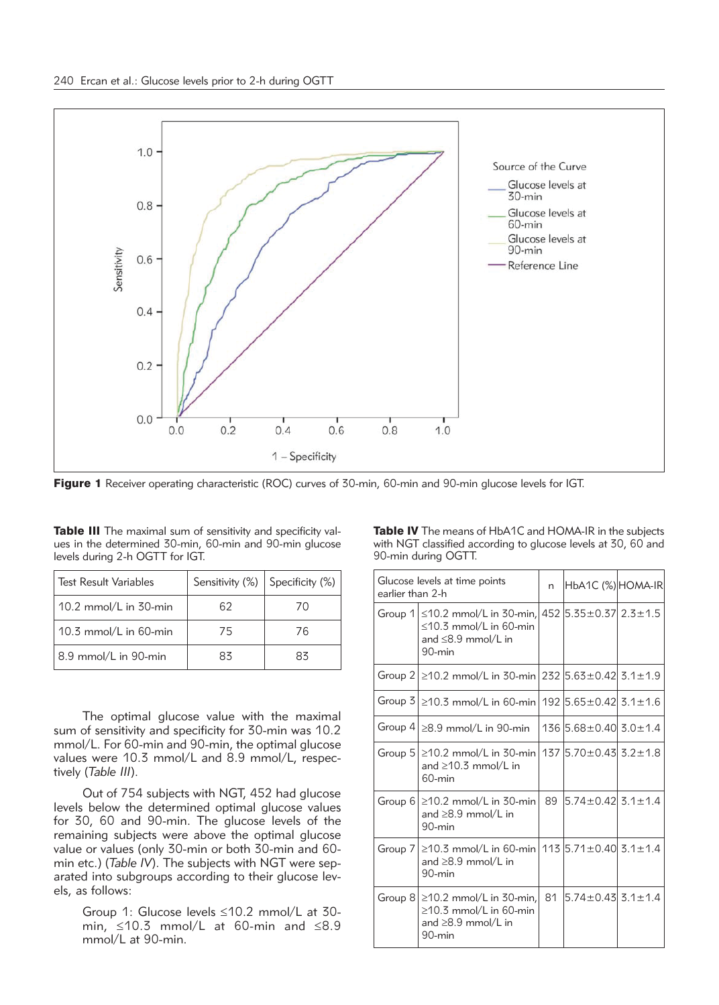

Figure 1 Receiver operating characteristic (ROC) curves of 30-min, 60-min and 90-min glucose levels for IGT.

| <b>Table III</b> The maximal sum of sensitivity and specificity val- |  |
|----------------------------------------------------------------------|--|
| ues in the determined 30-min, 60-min and 90-min glucose              |  |
| levels during 2-h OGTT for IGT.                                      |  |

| <b>Test Result Variables</b> |    | Sensitivity $(\%)$ Specificity $(\%)$ |  |
|------------------------------|----|---------------------------------------|--|
| 10.2 mmol/L in 30-min        | 62 | 7Λ                                    |  |
| 10.3 mmol/L in 60-min        | 75 | 76                                    |  |
| 8.9 mmol/L in 90-min         | 83 | 83                                    |  |

The optimal glucose value with the maximal sum of sensitivity and specificity for 30-min was 10.2 mmol/L. For 60-min and 90-min, the optimal glucose values were 10.3 mmol/L and 8.9 mmol/L, respectively (*Table III*).

Out of 754 subjects with NGT, 452 had glucose levels below the determined optimal glucose values for 30, 60 and 90-min. The glucose levels of the remaining subjects were above the optimal glucose value or values (only 30-min or both 30-min and 60 min etc.) (*Table IV*). The subjects with NGT were separated into subgroups according to their glucose levels, as follows:

Group 1: Glucose levels ≤10.2 mmol/L at 30 min, ≤10.3 mmol/L at 60-min and ≤8.9 mmol/L at 90-min.

Table IV The means of HbA1C and HOMA-IR in the subjects with NGT classified according to glucose levels at 30, 60 and 90-min during OGTT.

| Glucose levels at time points<br>earlier than 2-h |                                                                                                                                                  | n  | HbA1C (%) HOMA-IR             |  |
|---------------------------------------------------|--------------------------------------------------------------------------------------------------------------------------------------------------|----|-------------------------------|--|
|                                                   | Group 1 $\leq$ 10.2 mmol/L in 30-min, 452 5.35 $\pm$ 0.37 2.3 $\pm$ 1.5<br>$\leq$ 10.3 mmol/L in 60-min<br>and $\leq$ 8.9 mmol/L in<br>$90$ -min |    |                               |  |
|                                                   | Group 2 $\ge$ 10.2 mmol/L in 30-min 232 5.63 $\pm$ 0.42 3.1 $\pm$ 1.9                                                                            |    |                               |  |
|                                                   | Group $3$ $\geq$ 10.3 mmol/L in 60-min 192 5.65 $\pm$ 0.42 3.1 $\pm$ 1.6                                                                         |    |                               |  |
|                                                   | Group $4 \geq 8.9$ mmol/L in 90-min                                                                                                              |    | $136$ 5.68 ± 0.40 $3.0$ ± 1.4 |  |
|                                                   | Group $5$ $\geq$ 10.2 mmol/L in 30-min 137 $5.70 \pm 0.43$ 3.2 $\pm$ 1.8<br>and $\geq$ 10.3 mmol/L in<br>60-min                                  |    |                               |  |
|                                                   | Group $6 \ge 10.2$ mmol/L in 30-min<br>and $\geq$ 8.9 mmol/L in<br>90-min                                                                        | 89 | l5.74±0.42l 3.1±1.4           |  |
|                                                   | Group 7   $\geq$ 10.3 mmol/L in 60-min   113   5.71 $\pm$ 0.40   3.1 $\pm$ 1.4<br>and $\geq$ 8.9 mmol/L in<br>$90$ -min                          |    |                               |  |
|                                                   | Group $8 \ge 10.2$ mmol/L in 30-min.<br>$\geq$ 10.3 mmol/L in 60-min<br>and $\geq$ 8.9 mmol/L in<br>90-min                                       | 81 | $5.74 \pm 0.43$ $3.1 \pm 1.4$ |  |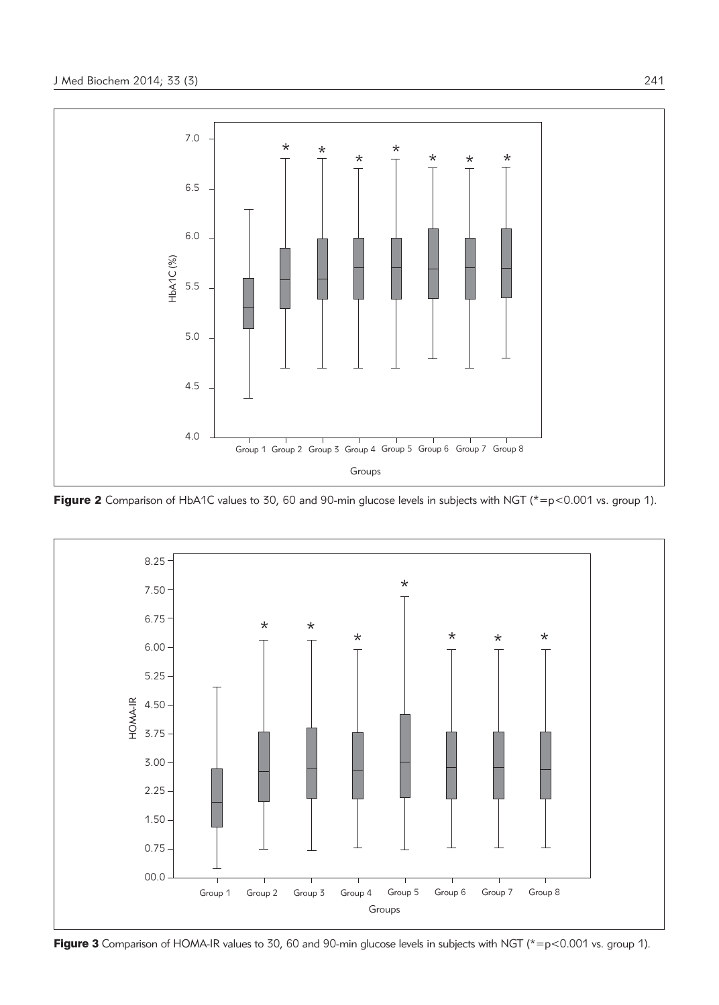

Figure 2 Comparison of HbA1C values to 30, 60 and 90-min glucose levels in subjects with NGT ( $* = p < 0.001$  vs. group 1).



Figure 3 Comparison of HOMA-IR values to 30, 60 and 90-min glucose levels in subjects with NGT ( $* = p < 0.001$  vs. group 1).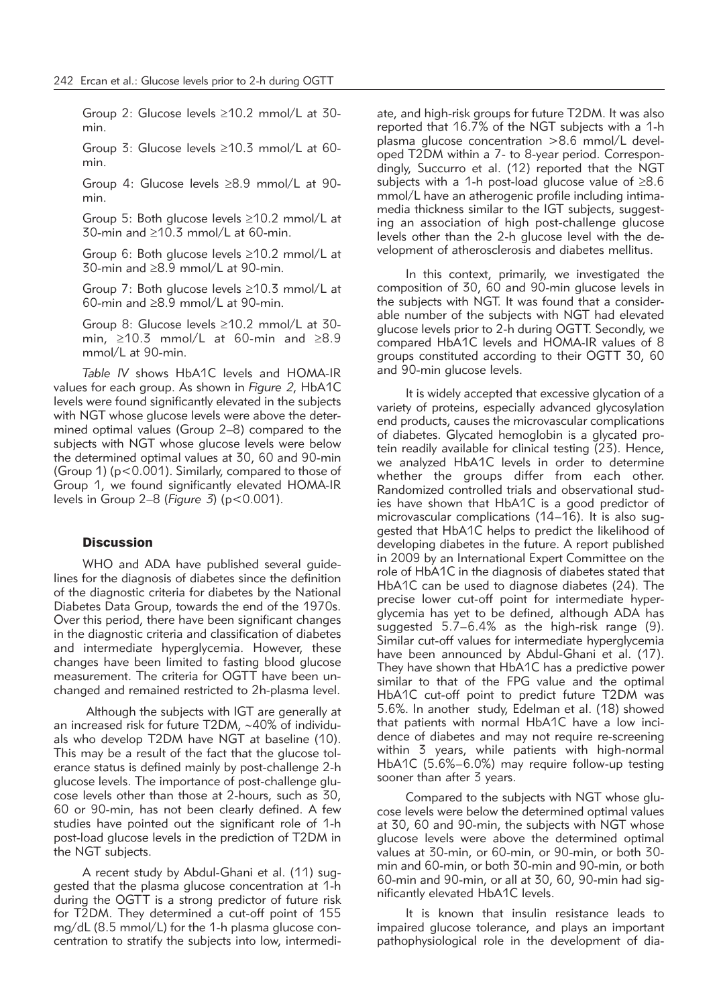Group 2: Glucose levels ≥10.2 mmol/L at 30 min.

Group 3: Glucose levels ≥10.3 mmol/L at 60 min.

Group 4: Glucose levels ≥8.9 mmol/L at 90 min.

Group 5: Both glucose levels ≥10.2 mmol/L at 30-min and ≥10.3 mmol/L at 60-min.

Group 6: Both glucose levels ≥10.2 mmol/L at 30-min and ≥8.9 mmol/L at 90-min.

Group 7: Both glucose levels ≥10.3 mmol/L at 60-min and ≥8.9 mmol/L at 90-min.

Group 8: Glucose levels ≥10.2 mmol/L at 30 min, ≥10.3 mmol/L at 60-min and ≥8.9 mmol/L at 90-min.

*Table IV* shows HbA1C levels and HOMA-IR values for each group. As shown in *Figure 2*, HbA1C levels were found significantly elevated in the subjects with NGT whose glucose levels were above the determined optimal values (Group 2–8) compared to the subjects with NGT whose glucose levels were below the determined optimal values at 30, 60 and 90-min (Group 1) (p<0.001). Similarly, compared to those of Group 1, we found significantly elevated HOMA-IR levels in Group 2–8 (*Figure 3*) (p<0.001).

#### **Discussion**

WHO and ADA have published several guidelines for the diagnosis of diabetes since the definition of the diagnostic criteria for diabetes by the National Diabetes Data Group, towards the end of the 1970s. Over this period, there have been significant changes in the diagnostic criteria and classification of diabetes and intermediate hyperglycemia. However, these changes have been limited to fasting blood glucose measurement. The criteria for OGTT have been unchanged and remained restricted to 2h-plasma level.

Although the subjects with IGT are generally at an increased risk for future T2DM, ∼40% of individuals who develop T2DM have NGT at baseline (10). This may be a result of the fact that the glucose tolerance status is defined mainly by post-challenge 2-h glucose levels. The importance of post-challenge glucose levels other than those at 2-hours, such as 30, 60 or 90-min, has not been clearly defined. A few studies have pointed out the significant role of 1-h post-load glucose levels in the prediction of T2DM in the NGT subjects.

A recent study by Abdul-Ghani et al. (11) suggested that the plasma glucose concentration at 1-h during the OGTT is a strong predictor of future risk for T2DM. They determined a cut-off point of 155 mg/dL (8.5 mmol/L) for the 1-h plasma glucose concentration to stratify the subjects into low, intermediate, and high-risk groups for future T2DM. It was also reported that 16.7% of the NGT subjects with a 1-h plasma glucose concentration >8.6 mmol/L developed T2DM within a 7- to 8-year period. Correspondingly, Succurro et al. (12) reported that the NGT subjects with a 1-h post-load glucose value of ≥8.6 mmol/L have an atherogenic profile including intimamedia thickness similar to the IGT subjects, suggesting an association of high post-challenge glucose levels other than the 2-h glucose level with the development of atherosclerosis and diabetes mellitus.

In this context, primarily, we investigated the composition of 30, 60 and 90-min glucose levels in the subjects with NGT. It was found that a considerable number of the subjects with NGT had elevated glucose levels prior to 2-h during OGTT. Secondly, we compared HbA1C levels and HOMA-IR values of 8 groups constituted according to their OGTT 30, 60 and 90-min glucose levels.

It is widely accepted that excessive glycation of a variety of proteins, especially advanced glycosylation end products, causes the microvascular complications of diabetes. Glycated hemoglobin is a glycated protein readily available for clinical testing (23). Hence, we analyzed HbA1C levels in order to determine whether the groups differ from each other. Randomized controlled trials and observational studies have shown that HbA1C is a good predictor of microvascular complications (14–16). It is also suggested that HbA1C helps to predict the likelihood of developing diabetes in the future. A report published in 2009 by an International Expert Committee on the role of HbA1C in the diagnosis of diabetes stated that HbA1C can be used to diagnose diabetes (24). The precise lower cut-off point for intermediate hyperglycemia has yet to be defined, although ADA has suggested  $5.7-6.4\%$  as the high-risk range (9). Similar cut-off values for intermediate hyperglycemia have been announced by Abdul-Ghani et al. (17). They have shown that HbA1C has a predictive power similar to that of the FPG value and the optimal HbA1C cut-off point to predict future T2DM was 5.6%. In another study, Edelman et al. (18) showed that patients with normal HbA1C have a low incidence of diabetes and may not require re-screening within 3 years, while patients with high-normal HbA1C (5.6%–6.0%) may require follow-up testing sooner than after 3 years.

Compared to the subjects with NGT whose glucose levels were below the determined optimal values at 30, 60 and 90-min, the subjects with NGT whose glucose levels were above the determined optimal values at 30-min, or 60-min, or 90-min, or both 30 min and 60-min, or both 30-min and 90-min, or both 60-min and 90-min, or all at 30, 60, 90-min had significantly elevated HbA1C levels.

It is known that insulin resistance leads to impaired glucose tolerance, and plays an important pathophysiological role in the development of dia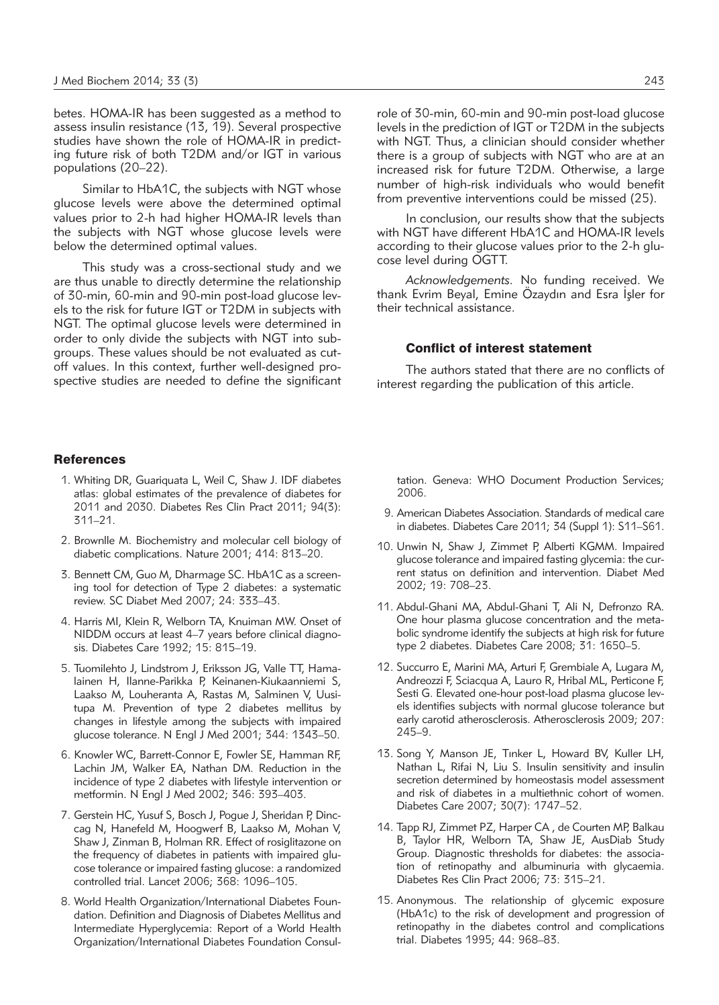betes. HOMA-IR has been suggested as a method to assess insulin resistance  $(13, 19)$ . Several prospective studies have shown the role of HOMA-IR in predicting future risk of both T2DM and/or IGT in various populations (20–22).

Similar to HbA1C, the subjects with NGT whose glucose levels were above the determined optimal values prior to 2-h had higher HOMA-IR levels than the subjects with NGT whose glucose levels were below the determined optimal values.

This study was a cross-sectional study and we are thus unable to directly determine the relationship of 30-min, 60-min and 90-min post-load glucose levels to the risk for future IGT or T2DM in subjects with NGT. The optimal glucose levels were determined in order to only divide the subjects with NGT into subgroups. These values should be not evaluated as cutoff values. In this context, further well-designed prospective studies are needed to define the significant

## **References**

- 1. Whiting DR, Guariquata L, Weil C, Shaw J. IDF diabetes atlas: global estimates of the prevalence of diabetes for 2011 and 2030. Diabetes Res Clin Pract 2011; 94(3): 311–21.
- 2. Brownlle M. Biochemistry and molecular cell biology of diabetic complications. Nature 2001; 414: 813–20.
- 3. Bennett CM, Guo M, Dharmage SC. HbA1C as a screening tool for detection of Type 2 diabetes: a systematic review. SC Diabet Med 2007; 24: 333–43.
- 4. Harris MI, Klein R, Welborn TA, Knuiman MW. Onset of NIDDM occurs at least 4–7 years before clinical diagnosis. Diabetes Care 1992; 15: 815–19.
- 5. Tuomilehto J, Lindstrom J, Eriksson JG, Valle TT, Hamalainen H, Ilanne-Parikka P, Keinanen-Kiukaanniemi S, Laakso M, Louheranta A, Rastas M, Salminen V, Uusitupa M. Prevention of type 2 diabetes mellitus by changes in lifestyle among the subjects with impaired glucose tolerance. N Engl J Med 2001; 344: 1343-50.
- 6. Knowler WC, Barrett-Connor E, Fowler SE, Hamman RF, Lachin JM, Walker EA, Nathan DM. Reduction in the incidence of type 2 diabetes with lifestyle intervention or metformin. N Engl J Med 2002; 346: 393–403.
- 7. Gerstein HC, Yusuf S, Bosch J, Pogue J, Sheridan P, Dinccag N, Hanefeld M, Hoogwerf B, Laakso M, Mohan V, Shaw J, Zinman B, Holman RR. Effect of rosiglitazone on the frequency of diabetes in patients with impaired glucose tolerance or impaired fasting glucose: a randomized controlled trial. Lancet 2006; 368: 1096–105.
- 8. World Health Organization/International Diabetes Foundation. Definition and Diagnosis of Diabetes Mellitus and Intermediate Hyperglycemia: Report of a World Health Organization/International Diabetes Foundation Consul -

role of 30-min, 60-min and 90-min post-load glucose levels in the prediction of IGT or T2DM in the subjects with NGT. Thus, a clinician should consider whether there is a group of subjects with NGT who are at an increased risk for future T2DM. Otherwise, a large number of high-risk individuals who would benefit from preventive interventions could be missed (25).

In conclusion, our results show that the subjects with NGT have different HbA1C and HOMA-IR levels according to their glucose values prior to the 2-h glucose level during OGTT.

*Acknowledgements.* No funding received. We Acknowledgements. No Turitung Teceived. We<br>thank Evrim Beyal, Emine Özaydın and Esra İşler for their technical assistance.

#### Conflict of interest statement

The authors stated that there are no conflicts of interest regarding the publication of this article.

tation. Geneva: WHO Document Production Services; 2006.

- 9. American Diabetes Association. Standards of medical care in diabetes. Diabetes Care 2011; 34 (Suppl 1): S11–S61.
- 10. Unwin N, Shaw J, Zimmet P, Alberti KGMM. Impaired glucose tolerance and impaired fasting glycemia: the current status on definition and intervention. Diabet Med 2002; 19: 708–23.
- 11. Abdul-Ghani MA, Abdul-Ghani T, Ali N, Defronzo RA. One hour plasma glucose concentration and the metabolic syndrome identify the subjects at high risk for future type 2 diabetes. Diabetes Care 2008; 31: 1650–5.
- 12. Succurro E, Marini MA, Arturi F, Grembiale A, Lugara M, Andreozzi F, Sciacqua A, Lauro R, Hribal ML, Perticone F, Sesti G. Elevated one-hour post-load plasma glucose levels identifies subjects with normal glucose tolerance but early carotid atherosclerosis. Atherosclerosis 2009; 207: 245–9.
- 13. Song Y, Manson JE, Tınker L, Howard BV, Kuller LH, Nathan L, Rifai N, Liu S. Insulin sensitivity and insulin secretion determined by homeostasis model assessment and risk of diabetes in a multiethnic cohort of women. Diabetes Care 2007; 30(7): 1747–52.
- 14. Tapp RJ, Zimmet PZ, Harper CA , de Courten MP, Balkau B, Taylor HR, Welborn TA, Shaw JE, AusDiab Study Group. Diagnostic thresholds for diabetes: the association of retinopathy and albuminuria with glycaemia. Diabetes Res Clin Pract 2006; 73: 315–21.
- 15. Anonymous. The relationship of glycemic exposure (HbA1c) to the risk of development and progression of retinopathy in the diabetes control and complications trial. Diabetes 1995; 44: 968–83.